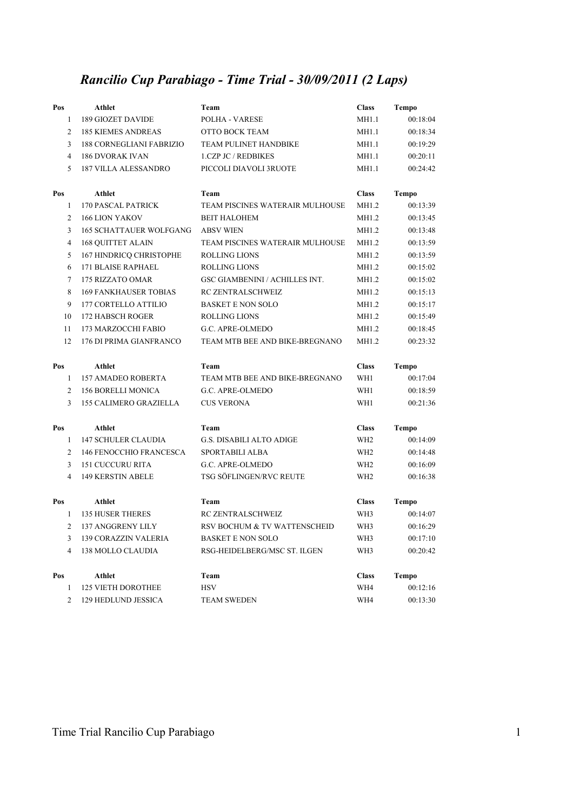## *Rancilio Cup Parabiago - Time Trial - 30/09/2011 (2 Laps)*

| Pos                     | Athlet                          | Team                                  | <b>Class</b>    | <b>Tempo</b> |
|-------------------------|---------------------------------|---------------------------------------|-----------------|--------------|
| $\mathbf{1}$            | <b>189 GIOZET DAVIDE</b>        | POLHA - VARESE                        | MH1.1           | 00:18:04     |
| $\overline{c}$          | <b>185 KIEMES ANDREAS</b>       | OTTO BOCK TEAM                        | MH1.1           | 00:18:34     |
| 3                       | <b>188 CORNEGLIANI FABRIZIO</b> | <b>TEAM PULINET HANDBIKE</b>          | MH1.1           | 00:19:29     |
| 4                       | <b>186 DVORAK IVAN</b>          | 1.CZP JC / REDBIKES                   | MH1.1           | 00:20:11     |
| 5                       | <b>187 VILLA ALESSANDRO</b>     | PICCOLI DIAVOLI 3RUOTE                | MH1.1           | 00:24:42     |
| Pos                     | <b>Athlet</b>                   | Team                                  | <b>Class</b>    | <b>Tempo</b> |
| $\mathbf{1}$            | <b>170 PASCAL PATRICK</b>       | TEAM PISCINES WATERAIR MULHOUSE       | MH1.2           | 00:13:39     |
| $\overline{c}$          | <b>166 LION YAKOV</b>           | <b>BEIT HALOHEM</b>                   | MH1.2           | 00:13:45     |
| 3                       | <b>165 SCHATTAUER WOLFGANG</b>  | <b>ABSV WIEN</b>                      | MH1.2           | 00:13:48     |
| $\overline{4}$          | <b>168 QUITTET ALAIN</b>        | TEAM PISCINES WATERAIR MULHOUSE       | MH1.2           | 00:13:59     |
| 5                       | 167 HINDRICQ CHRISTOPHE         | <b>ROLLING LIONS</b>                  | MH1.2           | 00:13:59     |
| 6                       | 171 BLAISE RAPHAEL              | <b>ROLLING LIONS</b>                  | MH1.2           | 00:15:02     |
| 7                       | 175 RIZZATO OMAR                | <b>GSC GIAMBENINI / ACHILLES INT.</b> | MH1.2           | 00:15:02     |
| 8                       | <b>169 FANKHAUSER TOBIAS</b>    | RC ZENTRALSCHWEIZ                     | MH1.2           | 00:15:13     |
| 9                       | 177 CORTELLO ATTILIO            | <b>BASKET E NON SOLO</b>              | MH1.2           | 00:15:17     |
| 10                      | <b>172 HABSCH ROGER</b>         | <b>ROLLING LIONS</b>                  | MH1.2           | 00:15:49     |
| 11                      | 173 MARZOCCHI FABIO             | G.C. APRE-OLMEDO                      | MH1.2           | 00:18:45     |
| 12                      | 176 DI PRIMA GIANFRANCO         | TEAM MTB BEE AND BIKE-BREGNANO        | MH1.2           | 00:23:32     |
| Pos                     | <b>Athlet</b>                   | Team                                  | <b>Class</b>    | <b>Tempo</b> |
| 1                       | <b>157 AMADEO ROBERTA</b>       | TEAM MTB BEE AND BIKE-BREGNANO        | WH1             | 00:17:04     |
| $\overline{c}$          | <b>156 BORELLI MONICA</b>       | G.C. APRE-OLMEDO                      | WH1             | 00:18:59     |
| 3                       | <b>155 CALIMERO GRAZIELLA</b>   | <b>CUS VERONA</b>                     | WH1             | 00:21:36     |
| Pos                     | <b>Athlet</b>                   | Team                                  | <b>Class</b>    | <b>Tempo</b> |
| 1                       | <b>147 SCHULER CLAUDIA</b>      | <b>G.S. DISABILI ALTO ADIGE</b>       | WH <sub>2</sub> | 00:14:09     |
| $\overline{c}$          | 146 FENOCCHIO FRANCESCA         | SPORTABILI ALBA                       | WH <sub>2</sub> | 00:14:48     |
| 3                       | <b>151 CUCCURU RITA</b>         | G.C. APRE-OLMEDO                      | WH <sub>2</sub> | 00:16:09     |
| $\overline{\mathbf{4}}$ | <b>149 KERSTIN ABELE</b>        | TSG SÖFLINGEN/RVC REUTE               | WH <sub>2</sub> | 00:16:38     |
| Pos                     | <b>Athlet</b>                   | Team                                  | <b>Class</b>    | <b>Tempo</b> |
| $\mathbf{1}$            | <b>135 HUSER THERES</b>         | RC ZENTRALSCHWEIZ                     | WH3             | 00:14:07     |
| 2                       | 137 ANGGRENY LILY               | RSV BOCHUM & TV WATTENSCHEID          | WH3             | 00:16:29     |
| 3                       | <b>139 CORAZZIN VALERIA</b>     | <b>BASKET E NON SOLO</b>              | WH3             | 00:17:10     |
| 4                       | <b>138 MOLLO CLAUDIA</b>        | RSG-HEIDELBERG/MSC ST. ILGEN          | WH3             | 00:20:42     |
| Pos                     | <b>Athlet</b>                   | Team                                  | <b>Class</b>    | <b>Tempo</b> |
| 1                       | <b>125 VIETH DOROTHEE</b>       | <b>HSV</b>                            | WH4             | 00:12:16     |
| 2                       | 129 HEDLUND JESSICA             | <b>TEAM SWEDEN</b>                    | WH4             | 00:13:30     |

Time Trial Rancilio Cup Parabiago 1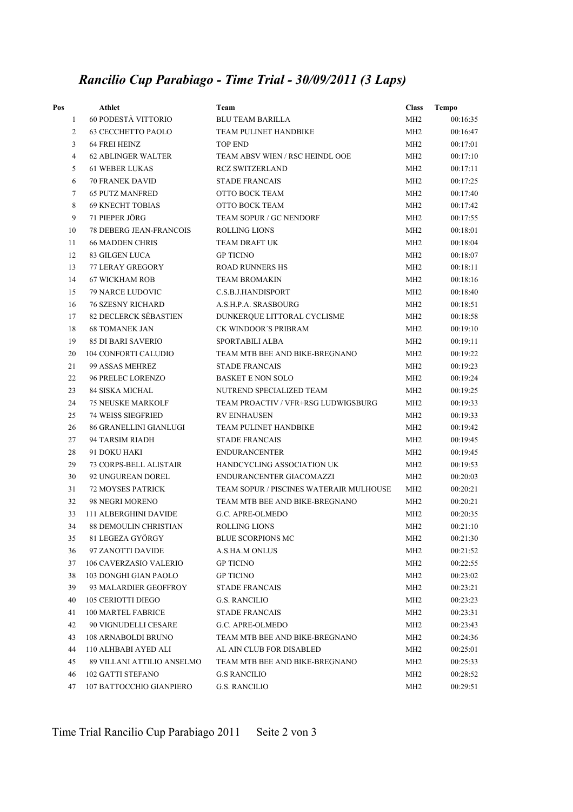## *Rancilio Cup Parabiago - Time Trial - 30/09/2011 (3 Laps)*

| Pos            | Athlet                         | Team                                    | <b>Class</b>    | Tempo    |
|----------------|--------------------------------|-----------------------------------------|-----------------|----------|
| $\mathbf{1}$   | 60 PODESTÀ VITTORIO            | <b>BLU TEAM BARILLA</b>                 | MH <sub>2</sub> | 00:16:35 |
| 2              | <b>63 CECCHETTO PAOLO</b>      | TEAM PULINET HANDBIKE                   | MH <sub>2</sub> | 00:16:47 |
| 3              | 64 FREI HEINZ                  | <b>TOP END</b>                          | MH <sub>2</sub> | 00:17:01 |
| $\overline{4}$ | <b>62 ABLINGER WALTER</b>      | TEAM ABSV WIEN / RSC HEINDL OOE         | MH <sub>2</sub> | 00:17:10 |
| 5              | <b>61 WEBER LUKAS</b>          | <b>RCZ SWITZERLAND</b>                  | MH <sub>2</sub> | 00:17:11 |
| 6              | <b>70 FRANEK DAVID</b>         | <b>STADE FRANCAIS</b>                   | MH <sub>2</sub> | 00:17:25 |
| $\overline{7}$ | <b>65 PUTZ MANFRED</b>         | OTTO BOCK TEAM                          | MH <sub>2</sub> | 00:17:40 |
| 8              | <b>69 KNECHT TOBIAS</b>        | OTTO BOCK TEAM                          | MH <sub>2</sub> | 00:17:42 |
| 9              | 71 PIEPER JÖRG                 | TEAM SOPUR / GC NENDORF                 | MH <sub>2</sub> | 00:17:55 |
| 10             | <b>78 DEBERG JEAN-FRANCOIS</b> | <b>ROLLING LIONS</b>                    | MH <sub>2</sub> | 00:18:01 |
| 11             | <b>66 MADDEN CHRIS</b>         | TEAM DRAFT UK                           | MH <sub>2</sub> | 00:18:04 |
| 12             | <b>83 GILGEN LUCA</b>          | <b>GP TICINO</b>                        | MH <sub>2</sub> | 00:18:07 |
| 13             | 77 LERAY GREGORY               | <b>ROAD RUNNERS HS</b>                  | MH <sub>2</sub> | 00:18:11 |
| 14             | <b>67 WICKHAM ROB</b>          | <b>TEAM BROMAKIN</b>                    | MH <sub>2</sub> | 00:18:16 |
| 15             | 79 NARCE LUDOVIC               | C.S.B.J.HANDISPORT                      | MH <sub>2</sub> | 00:18:40 |
| 16             | <b>76 SZESNY RICHARD</b>       | A.S.H.P.A. SRASBOURG                    | MH <sub>2</sub> | 00:18:51 |
| 17             | <b>82 DECLERCK SÉBASTIEN</b>   | DUNKERQUE LITTORAL CYCLISME             | MH <sub>2</sub> | 00:18:58 |
| 18             | <b>68 TOMANEK JAN</b>          | CK WINDOOR'S PRIBRAM                    | MH <sub>2</sub> | 00:19:10 |
| 19             | <b>85 DI BARI SAVERIO</b>      | SPORTABILI ALBA                         | MH <sub>2</sub> | 00:19:11 |
| 20             | <b>104 CONFORTI CALUDIO</b>    | TEAM MTB BEE AND BIKE-BREGNANO          | MH <sub>2</sub> | 00:19:22 |
| 21             | 99 ASSAS MEHREZ                | <b>STADE FRANCAIS</b>                   | MH <sub>2</sub> | 00:19:23 |
| 22             | <b>96 PRELEC LORENZO</b>       | <b>BASKET E NON SOLO</b>                | MH <sub>2</sub> | 00:19:24 |
| 23             | <b>84 SISKA MICHAL</b>         | NUTREND SPECIALIZED TEAM                | MH <sub>2</sub> | 00:19:25 |
| 24             | <b>75 NEUSKE MARKOLF</b>       | TEAM PROACTIV / VFR+RSG LUDWIGSBURG     | MH <sub>2</sub> | 00:19:33 |
| 25             | <b>74 WEISS SIEGFRIED</b>      | <b>RV EINHAUSEN</b>                     | MH <sub>2</sub> | 00:19:33 |
| 26             | 86 GRANELLINI GIANLUGI         | TEAM PULINET HANDBIKE                   | MH2             | 00:19:42 |
| 27             | 94 TARSIM RIADH                | <b>STADE FRANCAIS</b>                   | MH <sub>2</sub> | 00:19:45 |
| 28             | 91 DOKU HAKI                   | <b>ENDURANCENTER</b>                    | MH <sub>2</sub> | 00:19:45 |
| 29             | <b>73 CORPS-BELL ALISTAIR</b>  | HANDCYCLING ASSOCIATION UK              | MH <sub>2</sub> | 00:19:53 |
| 30             | 92 UNGUREAN DOREL              | ENDURANCENTER GIACOMAZZI                | MH <sub>2</sub> | 00:20:03 |
| 31             | 72 MOYSES PATRICK              | TEAM SOPUR / PISCINES WATERAIR MULHOUSE | MH <sub>2</sub> | 00:20:21 |
| 32             | 98 NEGRI MORENO                | TEAM MTB BEE AND BIKE-BREGNANO          | MH <sub>2</sub> | 00:20:21 |
| 33             | 111 ALBERGHINI DAVIDE          | G.C. APRE-OLMEDO                        | MH <sub>2</sub> | 00:20:35 |
| 34             | <b>88 DEMOULIN CHRISTIAN</b>   | <b>ROLLING LIONS</b>                    | MH <sub>2</sub> | 00:21:10 |
| 35             | 81 LEGEZA GYÖRGY               | <b>BLUE SCORPIONS MC</b>                | MH <sub>2</sub> | 00:21:30 |
| 36             | 97 ZANOTTI DAVIDE              | A.S.HA.M ONLUS                          | MH <sub>2</sub> | 00:21:52 |
| 37             | 106 CAVERZASIO VALERIO         | <b>GP TICINO</b>                        | MH <sub>2</sub> | 00:22:55 |
| 38             | 103 DONGHI GIAN PAOLO          | <b>GP TICINO</b>                        | MH <sub>2</sub> | 00:23:02 |
| 39             | 93 MALARDIER GEOFFROY          | <b>STADE FRANCAIS</b>                   | MH <sub>2</sub> | 00:23:21 |
| 40             | 105 CERIOTTI DIEGO             | <b>G.S. RANCILIO</b>                    | MH <sub>2</sub> | 00:23:23 |
| 41             | 100 MARTEL FABRICE             | <b>STADE FRANCAIS</b>                   | MH <sub>2</sub> | 00:23:31 |
| 42             | 90 VIGNUDELLI CESARE           | G.C. APRE-OLMEDO                        | MH2             | 00:23:43 |
| 43             | 108 ARNABOLDI BRUNO            | TEAM MTB BEE AND BIKE-BREGNANO          | MH <sub>2</sub> | 00:24:36 |
| 44             | 110 ALHBABI AYED ALI           | AL AIN CLUB FOR DISABLED                | MH <sub>2</sub> | 00:25:01 |
| 45             | 89 VILLANI ATTILIO ANSELMO     | TEAM MTB BEE AND BIKE-BREGNANO          | MH2             | 00:25:33 |
| 46             | 102 GATTI STEFANO              | <b>G.S RANCILIO</b>                     | MH <sub>2</sub> | 00:28:52 |
| 47             | 107 BATTOCCHIO GIANPIERO       | <b>G.S. RANCILIO</b>                    | MH2             | 00:29:51 |

Time Trial Rancilio Cup Parabiago 2011 Seite 2 von 3